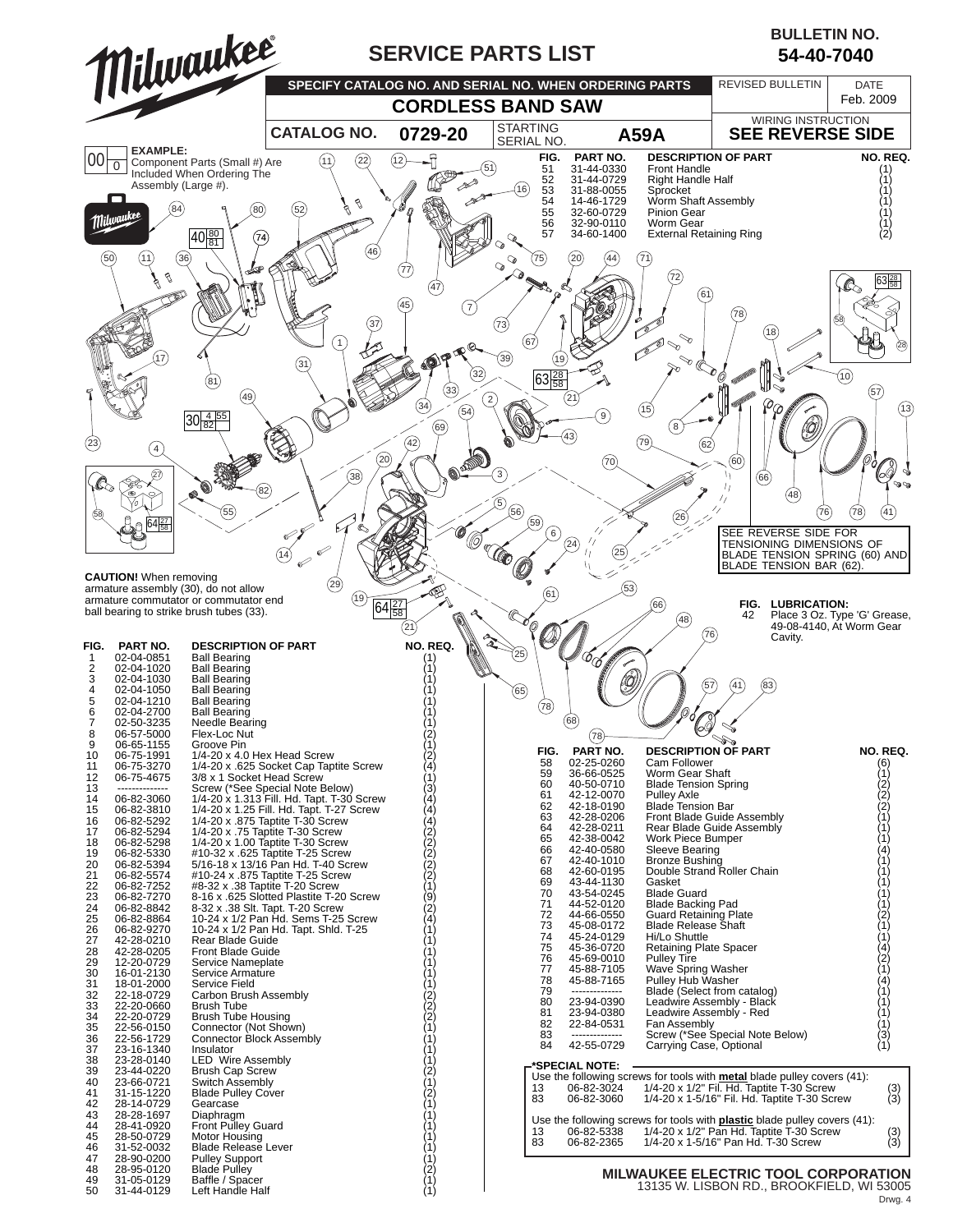